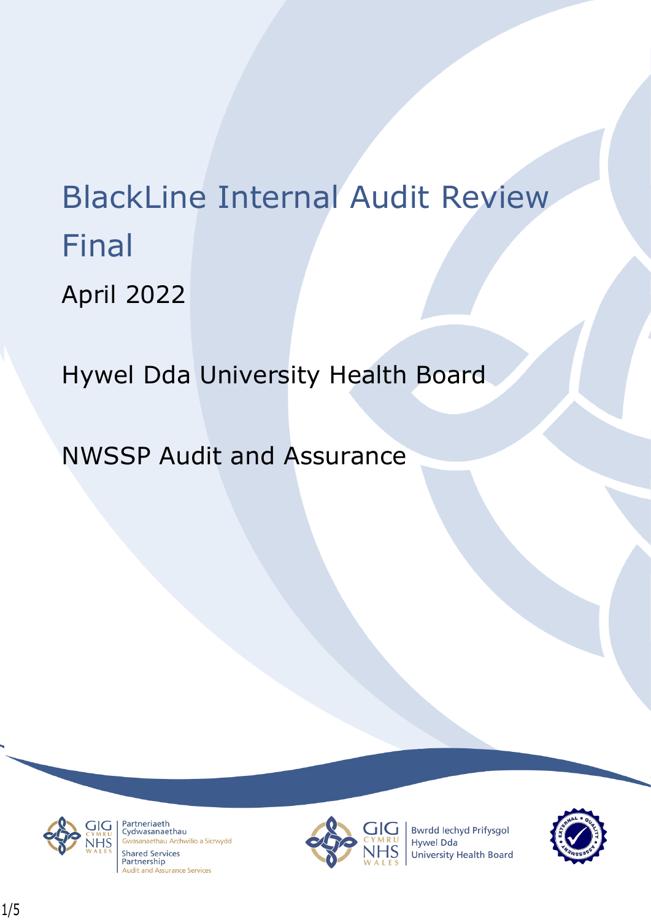# BlackLine Internal Audit Review Final

April 2022

Hywel Dda University Health Board

NWSSP Audit and Assurance



Partneriaeth randichaeth<br>Cydwasanaethau asanaethau Archwilio a Sicrwydd **Shared Services** Partnership **Audit and Assurance Services** 



**Bwrdd lechyd Prifysgol** Hywel Dda University Health Board

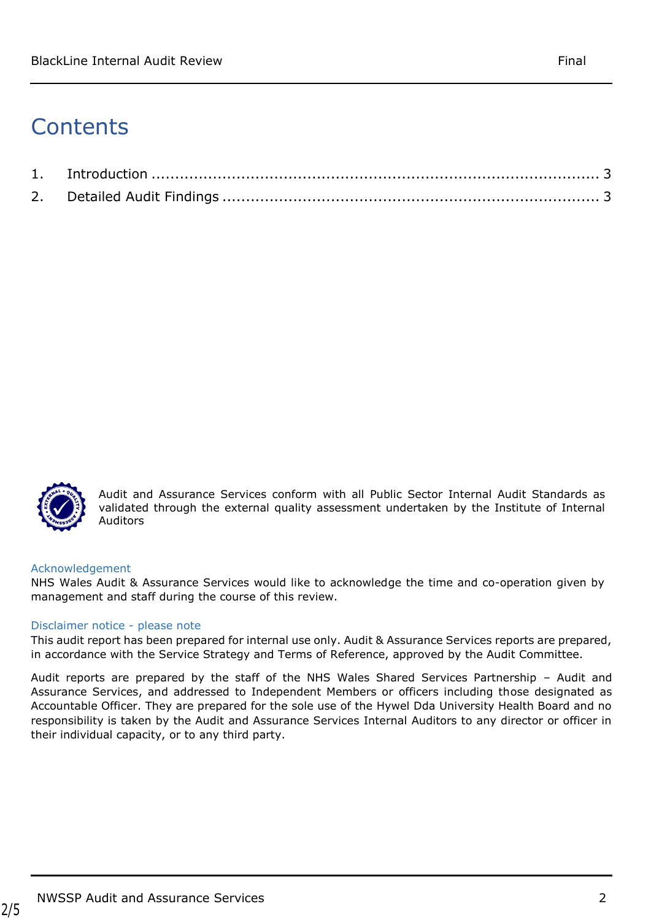# **Contents**



Audit and Assurance Services conform with all Public Sector Internal Audit Standards as validated through the external quality assessment undertaken by the Institute of Internal Auditors

### Acknowledgement

NHS Wales Audit & Assurance Services would like to acknowledge the time and co-operation given by management and staff during the course of this review.

### Disclaimer notice - please note

This audit report has been prepared for internal use only. Audit & Assurance Services reports are prepared, in accordance with the Service Strategy and Terms of Reference, approved by the Audit Committee.

<span id="page-1-0"></span>Audit reports are prepared by the staff of the NHS Wales Shared Services Partnership – Audit and Assurance Services, and addressed to Independent Members or officers including those designated as Accountable Officer. They are prepared for the sole use of the Hywel Dda University Health Board and no responsibility is taken by the Audit and Assurance Services Internal Auditors to any director or officer in their individual capacity, or to any third party.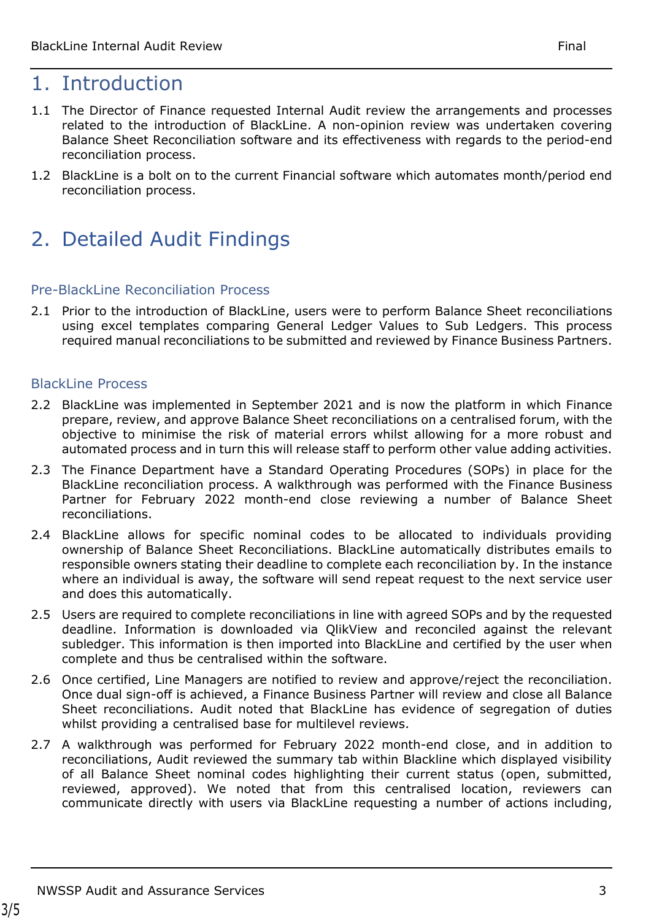## 1. Introduction

- 1.1 The Director of Finance requested Internal Audit review the arrangements and processes related to the introduction of BlackLine. A non-opinion review was undertaken covering Balance Sheet Reconciliation software and its effectiveness with regards to the period-end reconciliation process.
- 1.2 BlackLine is a bolt on to the current Financial software which automates month/period end reconciliation process.

# <span id="page-2-0"></span>2. Detailed Audit Findings

## Pre-BlackLine Reconciliation Process

2.1 Prior to the introduction of BlackLine, users were to perform Balance Sheet reconciliations using excel templates comparing General Ledger Values to Sub Ledgers. This process required manual reconciliations to be submitted and reviewed by Finance Business Partners.

## **BlackLine Process**

- 2.2 BlackLine was implemented in September 2021 and is now the platform in which Finance prepare, review, and approve Balance Sheet reconciliations on a centralised forum, with the objective to minimise the risk of material errors whilst allowing for a more robust and automated process and in turn this will release staff to perform other value adding activities.
- 2.3 The Finance Department have a Standard Operating Procedures (SOPs) in place for the BlackLine reconciliation process. A walkthrough was performed with the Finance Business Partner for February 2022 month-end close reviewing a number of Balance Sheet reconciliations.
- 2.4 BlackLine allows for specific nominal codes to be allocated to individuals providing ownership of Balance Sheet Reconciliations. BlackLine automatically distributes emails to responsible owners stating their deadline to complete each reconciliation by. In the instance where an individual is away, the software will send repeat request to the next service user and does this automatically.
- 2.5 Users are required to complete reconciliations in line with agreed SOPs and by the requested deadline. Information is downloaded via QlikView and reconciled against the relevant subledger. This information is then imported into BlackLine and certified by the user when complete and thus be centralised within the software.
- 2.6 Once certified, Line Managers are notified to review and approve/reject the reconciliation. Once dual sign-off is achieved, a Finance Business Partner will review and close all Balance Sheet reconciliations. Audit noted that BlackLine has evidence of segregation of duties whilst providing a centralised base for multilevel reviews.
- 2.7 A walkthrough was performed for February 2022 month-end close, and in addition to reconciliations, Audit reviewed the summary tab within Blackline which displayed visibility of all Balance Sheet nominal codes highlighting their current status (open, submitted, reviewed, approved). We noted that from this centralised location, reviewers can communicate directly with users via BlackLine requesting a number of actions including,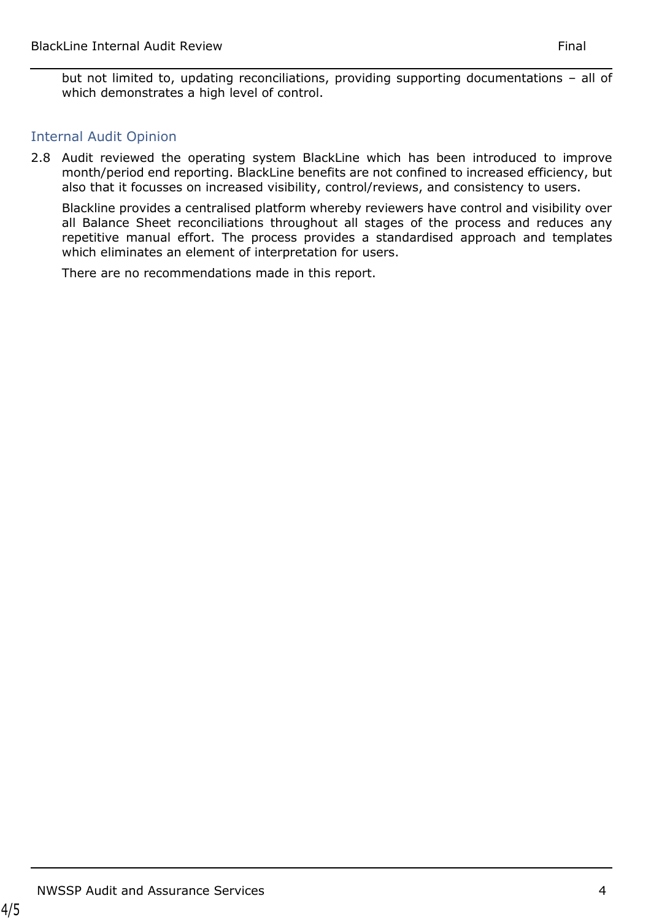but not limited to, updating reconciliations, providing supporting documentations – all of which demonstrates a high level of control.

## Internal Audit Opinion

2.8 Audit reviewed the operating system BlackLine which has been introduced to improve month/period end reporting. BlackLine benefits are not confined to increased efficiency, but also that it focusses on increased visibility, control/reviews, and consistency to users.

Blackline provides a centralised platform whereby reviewers have control and visibility over all Balance Sheet reconciliations throughout all stages of the process and reduces any repetitive manual effort. The process provides a standardised approach and templates which eliminates an element of interpretation for users.

There are no recommendations made in this report.